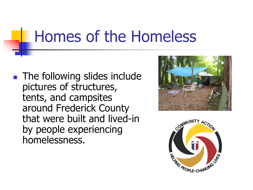#### Homes of the Homeless

**The following slides include** pictures of structures, tents, and campsites around Frederick County that were built and lived-in by people experiencing homelessness.



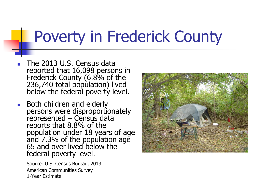#### Poverty in Frederick County

- **The 2013 U.S. Census data** reported that 16,098 persons in Frederick County (6.8% of the 236,740 total population) lived below the federal poverty level.
- **Both children and elderly** persons were disproportionately represented – Census data reports that 8.8% of the population under 18 years of age and 7.3% of the population age 65 and over lived below the federal poverty level.

Source: U.S. Census Bureau, 2013 American Communities Survey 1-Year Estimate

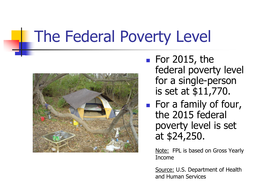## The Federal Poverty Level



- $\blacksquare$  For 2015, the federal poverty level for a single-person is set at \$11,770.
- **For a family of four,** the 2015 federal poverty level is set at \$24,250.

Note: FPL is based on Gross Yearly Income

Source: U.S. Department of Health and Human Services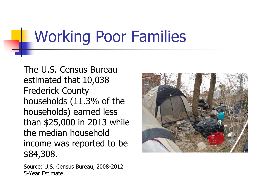## Working Poor Families

The U.S. Census Bureau estimated that 10,038 Frederick County households (11.3% of the households) earned less than \$25,000 in 2013 while the median household income was reported to be \$84,308.

Source: U.S. Census Bureau, 2008-2012 5-Year Estimate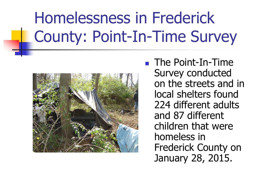# Homelessness in Frederick County: Point-In-Time Survey



■ The Point-In-Time Survey conducted on the streets and in local shelters found 224 different adults and 87 different children that were homeless in Frederick County on January 28, 2015.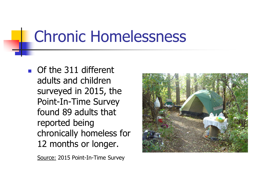## Chronic Homelessness

**Of the 311 different** adults and children surveyed in 2015, the Point-In-Time Survey found 89 adults that reported being chronically homeless for 12 months or longer.

Source: 2015 Point-In-Time Survey

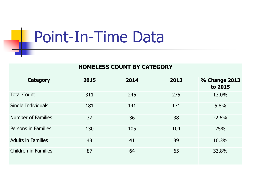#### Point-In-Time Data

#### **HOMELESS COUNT BY CATEGORY**

| <b>Category</b>           | 2015 | 2014 | 2013 | <b>% Change 2013</b><br>to 2015 |
|---------------------------|------|------|------|---------------------------------|
| <b>Total Count</b>        | 311  | 246  | 275  | 13.0%                           |
| Single Individuals        | 181  | 141  | 171  | 5.8%                            |
| <b>Number of Families</b> | 37   | 36   | 38   | $-2.6%$                         |
| Persons in Families       | 130  | 105  | 104  | 25%                             |
| <b>Adults in Families</b> | 43   | 41   | 39   | 10.3%                           |
| Children in Families      | 87   | 64   | 65   | 33.8%                           |
|                           |      |      |      |                                 |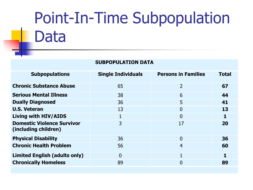## Point-In-Time Subpopulation Data

| <b>SUBPOPULATION DATA</b>                                 |                           |                            |              |  |  |  |
|-----------------------------------------------------------|---------------------------|----------------------------|--------------|--|--|--|
| <b>Subpopulations</b>                                     | <b>Single Individuals</b> | <b>Persons in Families</b> | <b>Total</b> |  |  |  |
| <b>Chronic Substance Abuse</b>                            | 65                        | $\overline{2}$             | 67           |  |  |  |
| <b>Serious Mental Illness</b>                             | 38                        | 6                          | 44           |  |  |  |
| <b>Dually Diagnosed</b>                                   | 36                        | 5                          | 41           |  |  |  |
| <b>U.S. Veteran</b>                                       | 13                        | $\Omega$                   | 13           |  |  |  |
| <b>Living with HIV/AIDS</b>                               | 1                         | $\Omega$                   | 1            |  |  |  |
| <b>Domestic Violence Survivor</b><br>(including children) | 3                         | 17                         | 20           |  |  |  |
| <b>Physical Disability</b>                                | 36                        | $\Omega$                   | 36           |  |  |  |
| <b>Chronic Health Problem</b>                             | 56                        | $\overline{4}$             | 60           |  |  |  |
| <b>Limited English (adults only)</b>                      | $\overline{0}$            | $\mathbf{1}$               | 1            |  |  |  |
| <b>Chronically Homeless</b>                               | 89                        | 0                          | 89           |  |  |  |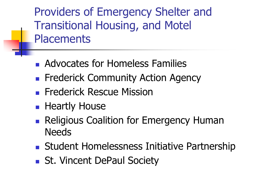Providers of Emergency Shelter and Transitional Housing, and Motel **Placements** 

- Advocates for Homeless Families
- **Finderick Community Action Agency**
- **Frederick Rescue Mission**
- **Heartly House**
- **Religious Coalition for Emergency Human Needs**
- **Student Homelessness Initiative Partnership**
- St. Vincent DePaul Society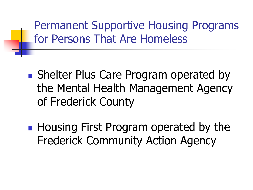Permanent Supportive Housing Programs for Persons That Are Homeless

- **Shelter Plus Care Program operated by** the Mental Health Management Agency of Frederick County
- **Housing First Program operated by the** Frederick Community Action Agency